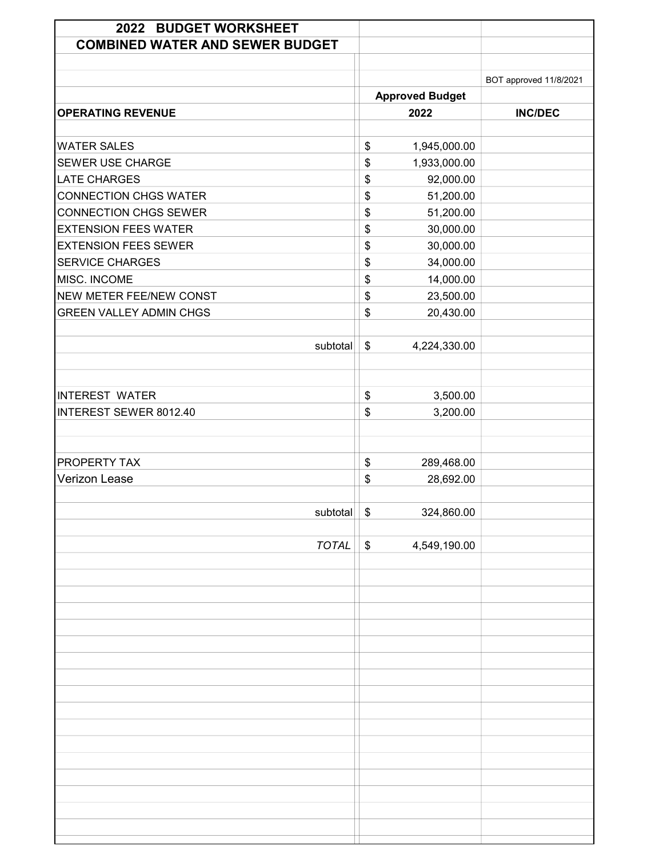| 2022 BUDGET WORKSHEET<br><b>COMBINED WATER AND SEWER BUDGET</b> |                        |                        |
|-----------------------------------------------------------------|------------------------|------------------------|
|                                                                 | <b>Approved Budget</b> | BOT approved 11/8/2021 |
| <b>OPERATING REVENUE</b>                                        | 2022                   | <b>INC/DEC</b>         |
| <b>WATER SALES</b>                                              | \$<br>1,945,000.00     |                        |
| <b>SEWER USE CHARGE</b>                                         | \$<br>1,933,000.00     |                        |
| <b>LATE CHARGES</b>                                             | \$<br>92,000.00        |                        |
| <b>CONNECTION CHGS WATER</b>                                    | \$<br>51,200.00        |                        |
| <b>CONNECTION CHGS SEWER</b>                                    | \$<br>51,200.00        |                        |
| <b>EXTENSION FEES WATER</b>                                     | \$<br>30,000.00        |                        |
| <b>EXTENSION FEES SEWER</b>                                     | \$<br>30,000.00        |                        |
| <b>SERVICE CHARGES</b>                                          | \$<br>34,000.00        |                        |
| MISC. INCOME                                                    | \$<br>14,000.00        |                        |
| <b>NEW METER FEE/NEW CONST</b>                                  | \$<br>23,500.00        |                        |
| <b>GREEN VALLEY ADMIN CHGS</b>                                  | \$<br>20,430.00        |                        |
|                                                                 |                        |                        |
| subtotal                                                        | \$<br>4,224,330.00     |                        |
| <b>INTEREST WATER</b>                                           | \$<br>3,500.00         |                        |
| <b>INTEREST SEWER 8012.40</b>                                   | \$<br>3,200.00         |                        |
|                                                                 |                        |                        |
|                                                                 |                        |                        |
| PROPERTY TAX                                                    | \$<br>289,468.00       |                        |
| <b>Verizon Lease</b>                                            | \$<br>28,692.00        |                        |
|                                                                 |                        |                        |
| subtotal                                                        | \$<br>324,860.00       |                        |
|                                                                 |                        |                        |
| <b>TOTAL</b>                                                    | \$<br>4,549,190.00     |                        |
|                                                                 |                        |                        |
|                                                                 |                        |                        |
|                                                                 |                        |                        |
|                                                                 |                        |                        |
|                                                                 |                        |                        |
|                                                                 |                        |                        |
|                                                                 |                        |                        |
|                                                                 |                        |                        |
|                                                                 |                        |                        |
|                                                                 |                        |                        |
|                                                                 |                        |                        |
|                                                                 |                        |                        |
|                                                                 |                        |                        |
|                                                                 |                        |                        |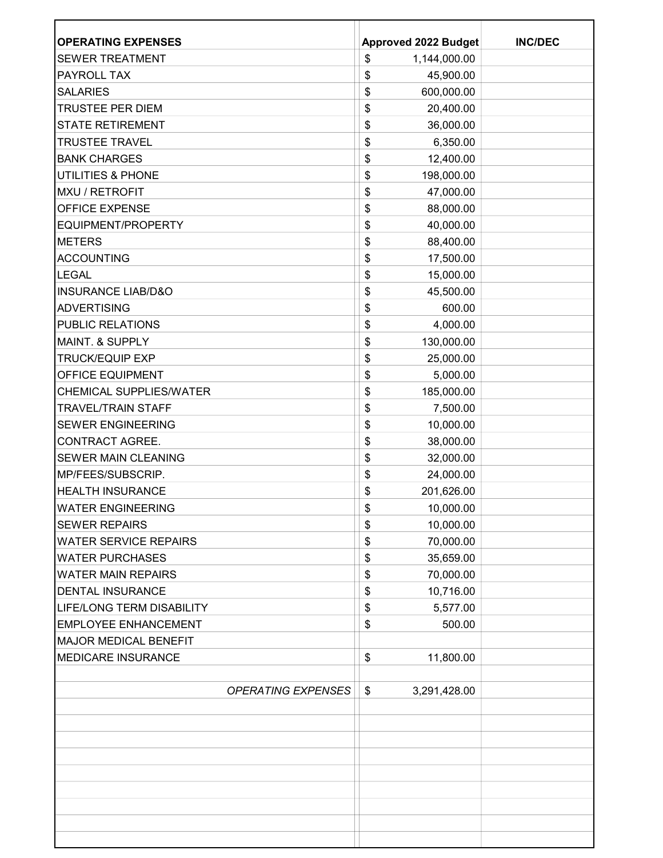| <b>OPERATING EXPENSES</b>        | <b>Approved 2022 Budget</b>   | <b>INC/DEC</b> |
|----------------------------------|-------------------------------|----------------|
| <b>SEWER TREATMENT</b>           | \$<br>1,144,000.00            |                |
| PAYROLL TAX                      | \$<br>45,900.00               |                |
| <b>SALARIES</b>                  | \$<br>600,000.00              |                |
| <b>TRUSTEE PER DIEM</b>          | \$<br>20,400.00               |                |
| <b>STATE RETIREMENT</b>          | \$<br>36,000.00               |                |
| <b>TRUSTEE TRAVEL</b>            | \$<br>6,350.00                |                |
| <b>BANK CHARGES</b>              | \$<br>12,400.00               |                |
| <b>UTILITIES &amp; PHONE</b>     | 198,000.00<br>\$              |                |
| MXU / RETROFIT                   | \$<br>47,000.00               |                |
| <b>OFFICE EXPENSE</b>            | \$<br>88,000.00               |                |
| EQUIPMENT/PROPERTY               | \$<br>40,000.00               |                |
| <b>METERS</b>                    | \$<br>88,400.00               |                |
| <b>ACCOUNTING</b>                | \$<br>17,500.00               |                |
| <b>LEGAL</b>                     | \$<br>15,000.00               |                |
| <b>INSURANCE LIAB/D&amp;O</b>    | \$<br>45,500.00               |                |
| <b>ADVERTISING</b>               | \$<br>600.00                  |                |
| <b>PUBLIC RELATIONS</b>          | \$<br>4,000.00                |                |
| <b>MAINT. &amp; SUPPLY</b>       | \$<br>130,000.00              |                |
| <b>TRUCK/EQUIP EXP</b>           | \$<br>25,000.00               |                |
| <b>OFFICE EQUIPMENT</b>          | \$<br>5,000.00                |                |
| <b>CHEMICAL SUPPLIES/WATER</b>   | \$<br>185,000.00              |                |
| <b>TRAVEL/TRAIN STAFF</b>        | \$<br>7,500.00                |                |
| <b>SEWER ENGINEERING</b>         | \$<br>10,000.00               |                |
| <b>CONTRACT AGREE.</b>           | \$<br>38,000.00               |                |
| <b>SEWER MAIN CLEANING</b>       | \$<br>32,000.00               |                |
| MP/FEES/SUBSCRIP.                | 24,000.00<br>\$               |                |
| <b>HEALTH INSURANCE</b>          | \$<br>201,626.00              |                |
| <b>WATER ENGINEERING</b>         | \$<br>10,000.00               |                |
| <b>SEWER REPAIRS</b>             | 10,000.00<br>\$               |                |
| <b>WATER SERVICE REPAIRS</b>     | \$<br>70,000.00               |                |
| <b>WATER PURCHASES</b>           | 35,659.00<br>\$               |                |
| <b>WATER MAIN REPAIRS</b>        | \$<br>70,000.00               |                |
| <b>DENTAL INSURANCE</b>          | \$<br>10,716.00               |                |
| <b>LIFE/LONG TERM DISABILITY</b> | \$<br>5,577.00                |                |
| <b>EMPLOYEE ENHANCEMENT</b>      | \$<br>500.00                  |                |
| <b>MAJOR MEDICAL BENEFIT</b>     |                               |                |
| <b>MEDICARE INSURANCE</b>        | \$<br>11,800.00               |                |
|                                  |                               |                |
| <b>OPERATING EXPENSES</b>        | $\frac{1}{2}$<br>3,291,428.00 |                |
|                                  |                               |                |
|                                  |                               |                |
|                                  |                               |                |
|                                  |                               |                |
|                                  |                               |                |
|                                  |                               |                |